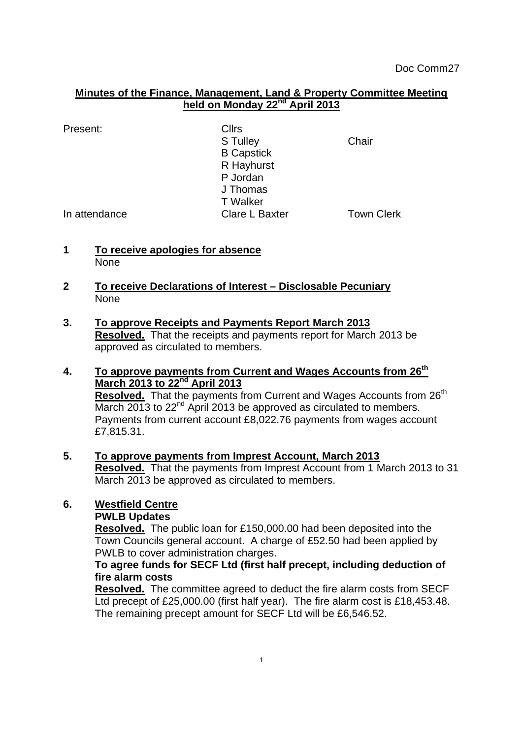## **Minutes of the Finance, Management, Land & Property Committee Meeting held on Monday 22nd April 2013**

Present: Cllrs

S Tulley **Chair** B Capstick R Hayhurst P Jordan J Thomas T Walker In attendance Clare L Baxter Town Clerk

- **1 To receive apologies for absence None**
- **2 To receive Declarations of Interest – Disclosable Pecuniary** None
- **3. To approve Receipts and Payments Report March 2013 Resolved.** That the receipts and payments report for March 2013 be approved as circulated to members.
- **4. To approve payments from Current and Wages Accounts from 26th March 2013 to 22nd April 2013 Resolved.** That the payments from Current and Wages Accounts from 26<sup>th</sup> March 2013 to  $22<sup>nd</sup>$  April 2013 be approved as circulated to members. Payments from current account £8,022.76 payments from wages account £7,815.31.

#### **5. To approve payments from Imprest Account, March 2013 Resolved.** That the payments from Imprest Account from 1 March 2013 to 31 March 2013 be approved as circulated to members.

# **6. Westfield Centre**

## **PWLB Updates**

**Resolved.** The public loan for £150,000.00 had been deposited into the Town Councils general account. A charge of £52.50 had been applied by PWLB to cover administration charges.

## **To agree funds for SECF Ltd (first half precept, including deduction of fire alarm costs**

**Resolved.** The committee agreed to deduct the fire alarm costs from SECF Ltd precept of £25,000.00 (first half year). The fire alarm cost is £18,453.48. The remaining precept amount for SECF Ltd will be £6,546.52.